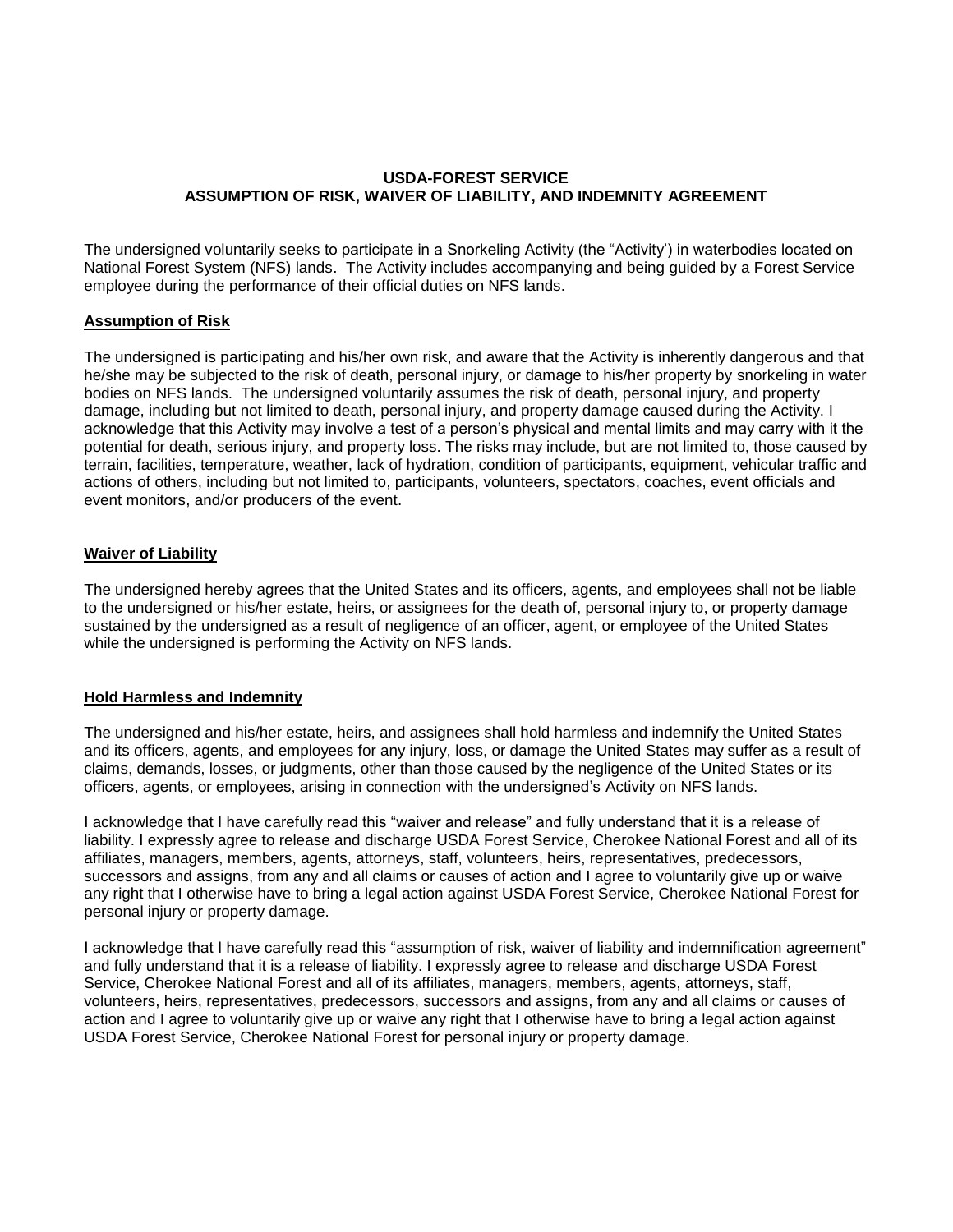# **USDA-FOREST SERVICE ASSUMPTION OF RISK, WAIVER OF LIABILITY, AND INDEMNITY AGREEMENT**

The undersigned voluntarily seeks to participate in a Snorkeling Activity (the "Activity') in waterbodies located on National Forest System (NFS) lands. The Activity includes accompanying and being guided by a Forest Service employee during the performance of their official duties on NFS lands.

## **Assumption of Risk**

The undersigned is participating and his/her own risk, and aware that the Activity is inherently dangerous and that he/she may be subjected to the risk of death, personal injury, or damage to his/her property by snorkeling in water bodies on NFS lands. The undersigned voluntarily assumes the risk of death, personal injury, and property damage, including but not limited to death, personal injury, and property damage caused during the Activity. I acknowledge that this Activity may involve a test of a person's physical and mental limits and may carry with it the potential for death, serious injury, and property loss. The risks may include, but are not limited to, those caused by terrain, facilities, temperature, weather, lack of hydration, condition of participants, equipment, vehicular traffic and actions of others, including but not limited to, participants, volunteers, spectators, coaches, event officials and event monitors, and/or producers of the event.

## **Waiver of Liability**

The undersigned hereby agrees that the United States and its officers, agents, and employees shall not be liable to the undersigned or his/her estate, heirs, or assignees for the death of, personal injury to, or property damage sustained by the undersigned as a result of negligence of an officer, agent, or employee of the United States while the undersigned is performing the Activity on NFS lands.

#### **Hold Harmless and Indemnity**

The undersigned and his/her estate, heirs, and assignees shall hold harmless and indemnify the United States and its officers, agents, and employees for any injury, loss, or damage the United States may suffer as a result of claims, demands, losses, or judgments, other than those caused by the negligence of the United States or its officers, agents, or employees, arising in connection with the undersigned's Activity on NFS lands.

I acknowledge that I have carefully read this "waiver and release" and fully understand that it is a release of liability. I expressly agree to release and discharge USDA Forest Service, Cherokee National Forest and all of its affiliates, managers, members, agents, attorneys, staff, volunteers, heirs, representatives, predecessors, successors and assigns, from any and all claims or causes of action and I agree to voluntarily give up or waive any right that I otherwise have to bring a legal action against USDA Forest Service, Cherokee National Forest for personal injury or property damage.

I acknowledge that I have carefully read this "assumption of risk, waiver of liability and indemnification agreement" and fully understand that it is a release of liability. I expressly agree to release and discharge USDA Forest Service, Cherokee National Forest and all of its affiliates, managers, members, agents, attorneys, staff, volunteers, heirs, representatives, predecessors, successors and assigns, from any and all claims or causes of action and I agree to voluntarily give up or waive any right that I otherwise have to bring a legal action against USDA Forest Service, Cherokee National Forest for personal injury or property damage.